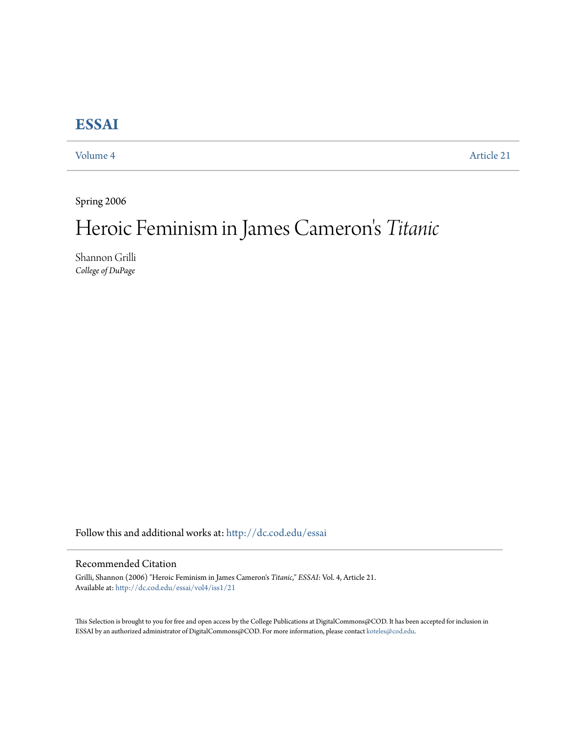# **[ESSAI](http://dc.cod.edu/essai?utm_source=dc.cod.edu%2Fessai%2Fvol4%2Fiss1%2F21&utm_medium=PDF&utm_campaign=PDFCoverPages)**

[Volume 4](http://dc.cod.edu/essai/vol4?utm_source=dc.cod.edu%2Fessai%2Fvol4%2Fiss1%2F21&utm_medium=PDF&utm_campaign=PDFCoverPages) [Article 21](http://dc.cod.edu/essai/vol4/iss1/21?utm_source=dc.cod.edu%2Fessai%2Fvol4%2Fiss1%2F21&utm_medium=PDF&utm_campaign=PDFCoverPages)

Spring 2006

## Heroic Feminism in James Cameron 's *Titanic*

Shannon Grilli *College of DuPage*

Follow this and additional works at: [http://dc.cod.edu/essai](http://dc.cod.edu/essai?utm_source=dc.cod.edu%2Fessai%2Fvol4%2Fiss1%2F21&utm_medium=PDF&utm_campaign=PDFCoverPages)

## Recommended Citation

Grilli, Shannon (2006) "Heroic Feminism in James Cameron's *Titanic*," *ESSAI*: Vol. 4, Article 21. Available at: [http://dc.cod.edu/essai/vol4/iss1/21](http://dc.cod.edu/essai/vol4/iss1/21?utm_source=dc.cod.edu%2Fessai%2Fvol4%2Fiss1%2F21&utm_medium=PDF&utm_campaign=PDFCoverPages)

This Selection is brought to you for free and open access by the College Publications at DigitalCommons@COD. It has been accepted for inclusion in ESSAI by an authorized administrator of DigitalCommons@COD. For more information, please contact [koteles@cod.edu](mailto:koteles@cod.edu).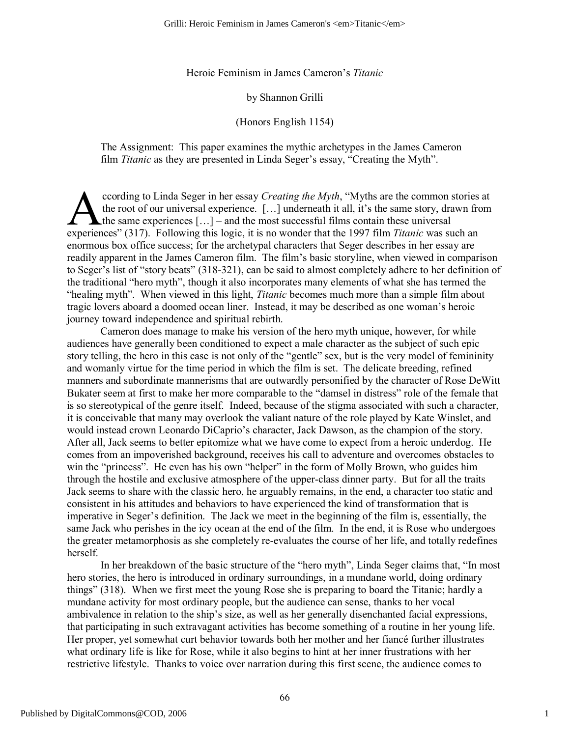Heroic Feminism in James Cameron's *Titanic*

#### by Shannon Grilli

### (Honors English 1154)

The Assignment: This paper examines the mythic archetypes in the James Cameron film *Titanic* as they are presented in Linda Seger's essay, "Creating the Myth".

ccording to Linda Seger in her essay *Creating the Myth*, "Myths are the common stories at the root of our universal experience. […] underneath it all, it's the same story, drawn from  $\blacktriangle$  the same experiences  $[...]$  – and the most successful films contain these universal coording to Linda Seger in her essay *Creating the Myth*, "Myths are the common stories the root of our universal experience. [...] underneath it all, it's the same story, drawn from the same experiences [...] – and the mo enormous box office success; for the archetypal characters that Seger describes in her essay are readily apparent in the James Cameron film. The film's basic storyline, when viewed in comparison to Seger's list of "story beats" (318-321), can be said to almost completely adhere to her definition of the traditional "hero myth", though it also incorporates many elements of what she has termed the "healing myth". When viewed in this light, *Titanic* becomes much more than a simple film about tragic lovers aboard a doomed ocean liner. Instead, it may be described as one woman's heroic journey toward independence and spiritual rebirth.

Cameron does manage to make his version of the hero myth unique, however, for while audiences have generally been conditioned to expect a male character as the subject of such epic story telling, the hero in this case is not only of the "gentle" sex, but is the very model of femininity and womanly virtue for the time period in which the film is set. The delicate breeding, refined manners and subordinate mannerisms that are outwardly personified by the character of Rose DeWitt Bukater seem at first to make her more comparable to the "damsel in distress" role of the female that is so stereotypical of the genre itself. Indeed, because of the stigma associated with such a character, it is conceivable that many may overlook the valiant nature of the role played by Kate Winslet, and would instead crown Leonardo DiCaprio's character, Jack Dawson, as the champion of the story. After all, Jack seems to better epitomize what we have come to expect from a heroic underdog. He comes from an impoverished background, receives his call to adventure and overcomes obstacles to win the "princess". He even has his own "helper" in the form of Molly Brown, who guides him through the hostile and exclusive atmosphere of the upper-class dinner party. But for all the traits Jack seems to share with the classic hero, he arguably remains, in the end, a character too static and consistent in his attitudes and behaviors to have experienced the kind of transformation that is imperative in Seger's definition. The Jack we meet in the beginning of the film is, essentially, the same Jack who perishes in the icy ocean at the end of the film. In the end, it is Rose who undergoes the greater metamorphosis as she completely re-evaluates the course of her life, and totally redefines herself.

In her breakdown of the basic structure of the "hero myth", Linda Seger claims that, "In most hero stories, the hero is introduced in ordinary surroundings, in a mundane world, doing ordinary things" (318). When we first meet the young Rose she is preparing to board the Titanic; hardly a mundane activity for most ordinary people, but the audience can sense, thanks to her vocal ambivalence in relation to the ship's size, as well as her generally disenchanted facial expressions, that participating in such extravagant activities has become something of a routine in her young life. Her proper, yet somewhat curt behavior towards both her mother and her fiancé further illustrates what ordinary life is like for Rose, while it also begins to hint at her inner frustrations with her restrictive lifestyle. Thanks to voice over narration during this first scene, the audience comes to

1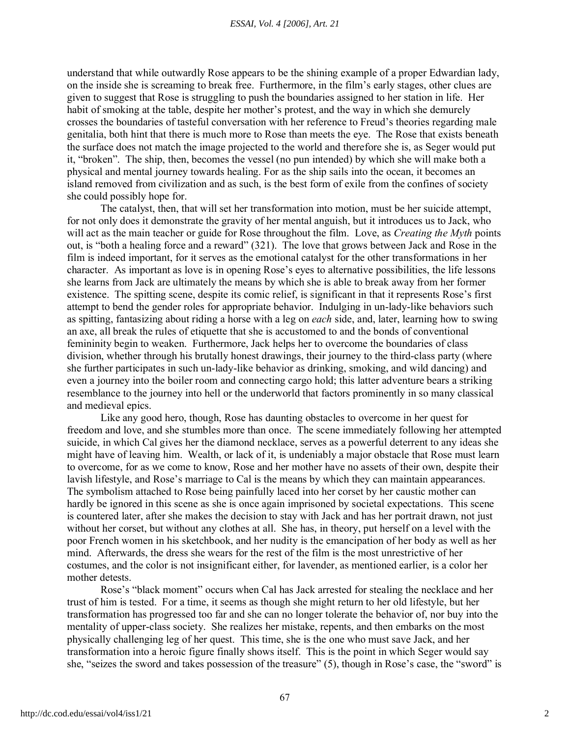understand that while outwardly Rose appears to be the shining example of a proper Edwardian lady, on the inside she is screaming to break free. Furthermore, in the film's early stages, other clues are given to suggest that Rose is struggling to push the boundaries assigned to her station in life. Her habit of smoking at the table, despite her mother's protest, and the way in which she demurely crosses the boundaries of tasteful conversation with her reference to Freud's theories regarding male genitalia, both hint that there is much more to Rose than meets the eye. The Rose that exists beneath the surface does not match the image projected to the world and therefore she is, as Seger would put it, "broken". The ship, then, becomes the vessel (no pun intended) by which she will make both a physical and mental journey towards healing. For as the ship sails into the ocean, it becomes an island removed from civilization and as such, is the best form of exile from the confines of society she could possibly hope for.

The catalyst, then, that will set her transformation into motion, must be her suicide attempt, for not only does it demonstrate the gravity of her mental anguish, but it introduces us to Jack, who will act as the main teacher or guide for Rose throughout the film. Love, as *Creating the Myth* points out, is "both a healing force and a reward" (321). The love that grows between Jack and Rose in the film is indeed important, for it serves as the emotional catalyst for the other transformations in her character. As important as love is in opening Rose's eyes to alternative possibilities, the life lessons she learns from Jack are ultimately the means by which she is able to break away from her former existence. The spitting scene, despite its comic relief, is significant in that it represents Rose's first attempt to bend the gender roles for appropriate behavior. Indulging in un-lady-like behaviors such as spitting, fantasizing about riding a horse with a leg on *each* side, and, later, learning how to swing an axe, all break the rules of etiquette that she is accustomed to and the bonds of conventional femininity begin to weaken. Furthermore, Jack helps her to overcome the boundaries of class division, whether through his brutally honest drawings, their journey to the third-class party (where she further participates in such un-lady-like behavior as drinking, smoking, and wild dancing) and even a journey into the boiler room and connecting cargo hold; this latter adventure bears a striking resemblance to the journey into hell or the underworld that factors prominently in so many classical and medieval epics.

Like any good hero, though, Rose has daunting obstacles to overcome in her quest for freedom and love, and she stumbles more than once. The scene immediately following her attempted suicide, in which Cal gives her the diamond necklace, serves as a powerful deterrent to any ideas she might have of leaving him. Wealth, or lack of it, is undeniably a major obstacle that Rose must learn to overcome, for as we come to know, Rose and her mother have no assets of their own, despite their lavish lifestyle, and Rose's marriage to Cal is the means by which they can maintain appearances. The symbolism attached to Rose being painfully laced into her corset by her caustic mother can hardly be ignored in this scene as she is once again imprisoned by societal expectations. This scene is countered later, after she makes the decision to stay with Jack and has her portrait drawn, not just without her corset, but without any clothes at all. She has, in theory, put herself on a level with the poor French women in his sketchbook, and her nudity is the emancipation of her body as well as her mind. Afterwards, the dress she wears for the rest of the film is the most unrestrictive of her costumes, and the color is not insignificant either, for lavender, as mentioned earlier, is a color her mother detests.

Rose's "black moment" occurs when Cal has Jack arrested for stealing the necklace and her trust of him is tested. For a time, it seems as though she might return to her old lifestyle, but her transformation has progressed too far and she can no longer tolerate the behavior of, nor buy into the mentality of upper-class society. She realizes her mistake, repents, and then embarks on the most physically challenging leg of her quest. This time, she is the one who must save Jack, and her transformation into a heroic figure finally shows itself. This is the point in which Seger would say she, "seizes the sword and takes possession of the treasure" (5), though in Rose's case, the "sword" is